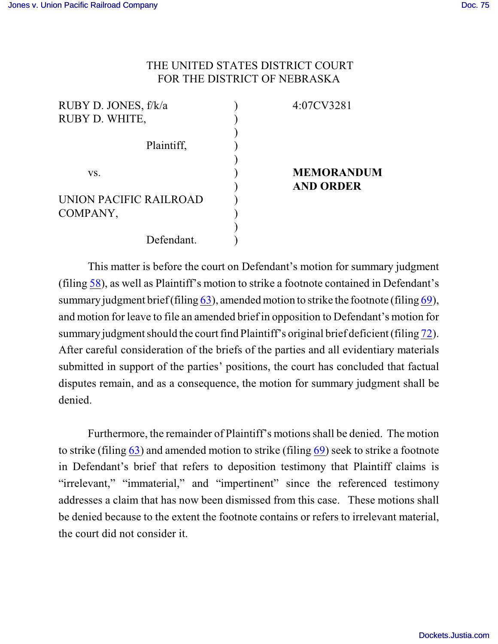## THE UNITED STATES DISTRICT COURT FOR THE DISTRICT OF NEBRASKA

| RUBY D. JONES, f/k/a   | 4:07CV3281        |
|------------------------|-------------------|
| RUBY D. WHITE,         |                   |
|                        |                   |
| Plaintiff,             |                   |
|                        |                   |
| VS.                    | <b>MEMORANDUM</b> |
|                        | <b>AND ORDER</b>  |
| UNION PACIFIC RAILROAD |                   |
| COMPANY,               |                   |
|                        |                   |
| Defendant.             |                   |

This matter is before the court on Defendant's motion for summary judgment (filing [58](https://ecf.ned.uscourts.gov/doc1/11301581023)), as well as Plaintiff's motion to strike a footnote contained in Defendant's summary judgment brief (filing  $63$ ), amended motion to strike the footnote (filing  $69$ ), and motion for leave to file an amended brief in opposition to Defendant's motion for summary judgment should the court find Plaintiff's original brief deficient (filing [72](https://ecf.ned.uscourts.gov/doc1/11301616168)). After careful consideration of the briefs of the parties and all evidentiary materials submitted in support of the parties' positions, the court has concluded that factual disputes remain, and as a consequence, the motion for summary judgment shall be denied.

Furthermore, the remainder of Plaintiff's motions shall be denied. The motion to strike (filing [63](https://ecf.ned.uscourts.gov/doc1/11301600980)) and amended motion to strike (filing [69](https://ecf.ned.uscourts.gov/doc1/11301614644)) seek to strike a footnote in Defendant's brief that refers to deposition testimony that Plaintiff claims is "irrelevant," "immaterial," and "impertinent" since the referenced testimony addresses a claim that has now been dismissed from this case. These motions shall be denied because to the extent the footnote contains or refers to irrelevant material, the court did not consider it.